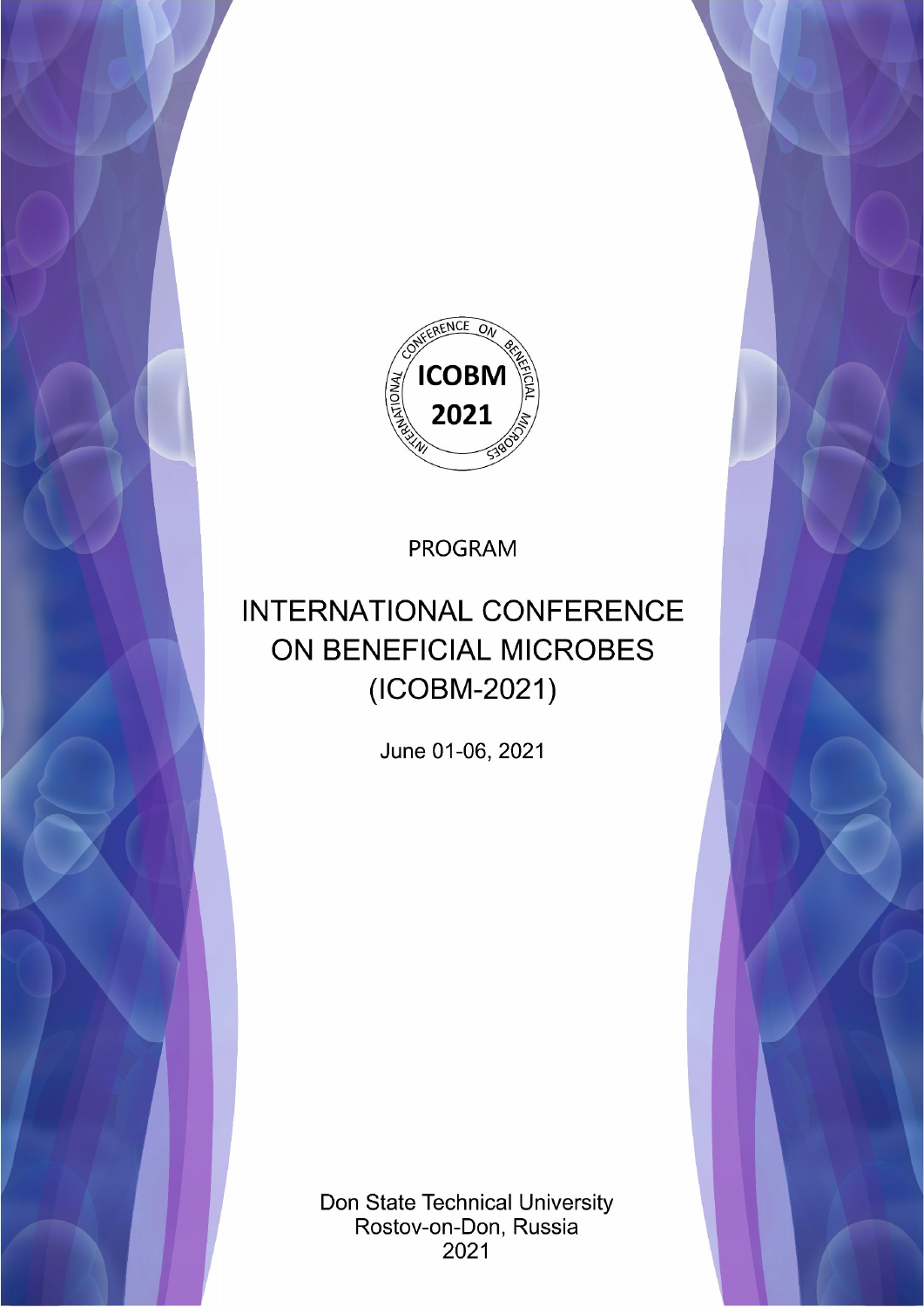

**PROGRAM** 

# **INTERNATIONAL CONFERENCE** ON BENEFICIAL MICROBES (ICOBM-2021)

June 01-06, 2021

Don State Technical University Rostov-on-Don, Russia 2021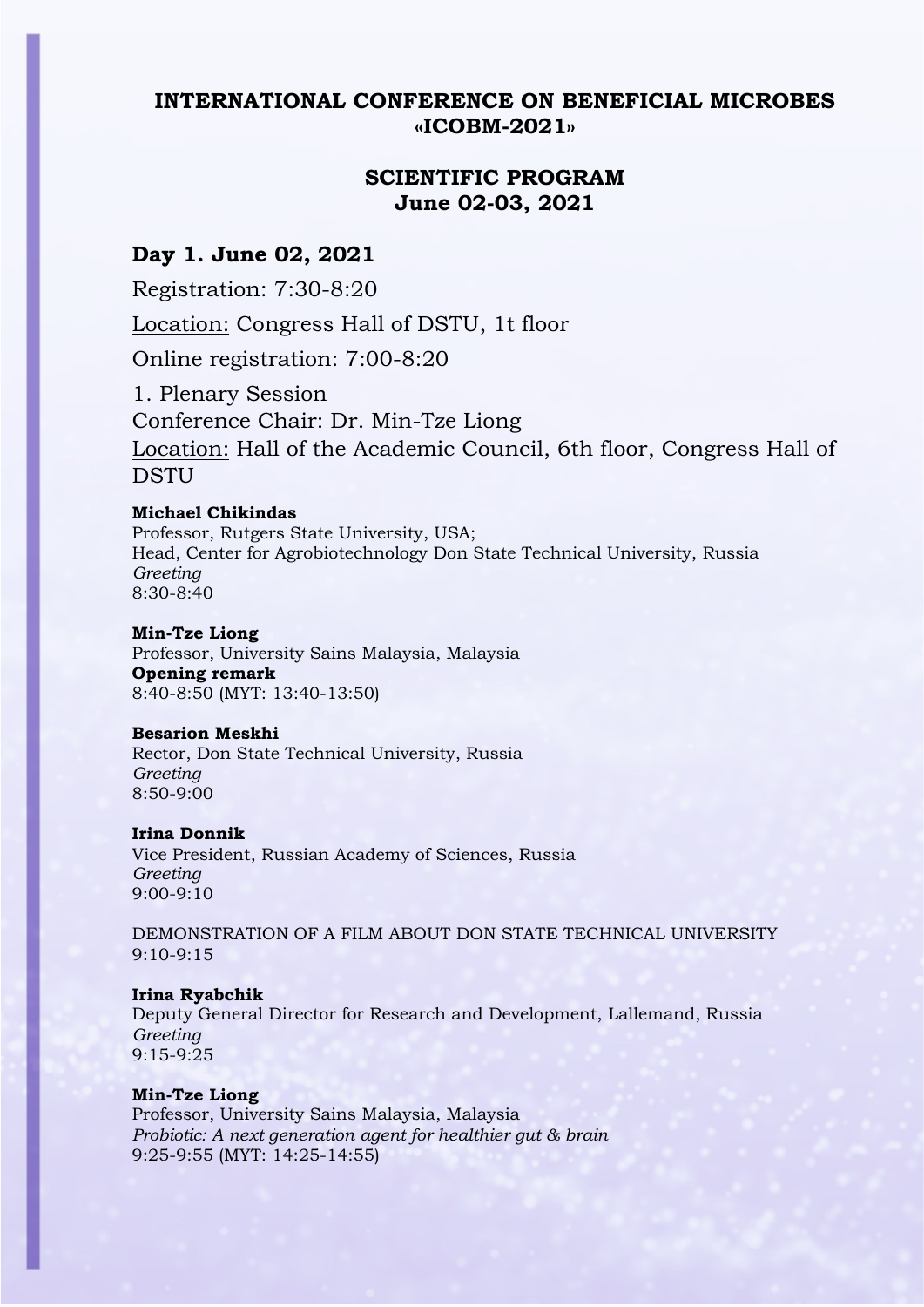# **INTERNATIONAL CONFERENCE ON BENEFICIAL MICROBES «ICOBM-2021»**

# **SCIENTIFIC PROGRAM June 02-03, 2021**

# **Day 1. June 02, 2021**

Registration: 7:30-8:20

Location: Congress Hall of DSTU, 1t floor

Online registration: 7:00-8:20

1. Plenary Session Conference Chair: Dr. Min-Tze Liong Location: Hall of the Academic Council, 6th floor, Congress Hall of **DSTU** 

# **Michael Chikindas**

Professor, Rutgers State University, USA; Head, Center for Agrobiotechnology Don State Technical University, Russia *Greeting* 8:30-8:40

#### **Min-Tze Liong**

Professor, University Sains Malaysia, Malaysia **Opening remark** 8:40-8:50 (MYT: 13:40-13:50)

# **Besarion Meskhi**

Rector, Don State Technical University, Russia *Greeting*  8:50-9:00

# **Irina Donnik**

Vice President, Russian Academy of Sciences, Russia *Greeting* 9:00-9:10

DEMONSTRATION OF A FILM ABOUT DON STATE TECHNICAL UNIVERSITY 9:10-9:15

# **Irina Ryabchik**

Deputy General Director for Research and Development, Lallemand, Russia *Greeting* 9:15-9:25

# **Min-Tze Liong**

Professor, University Sains Malaysia, Malaysia *Probiotic: A next generation agent for healthier gut & brain* 9:25-9:55 (MYT: 14:25-14:55)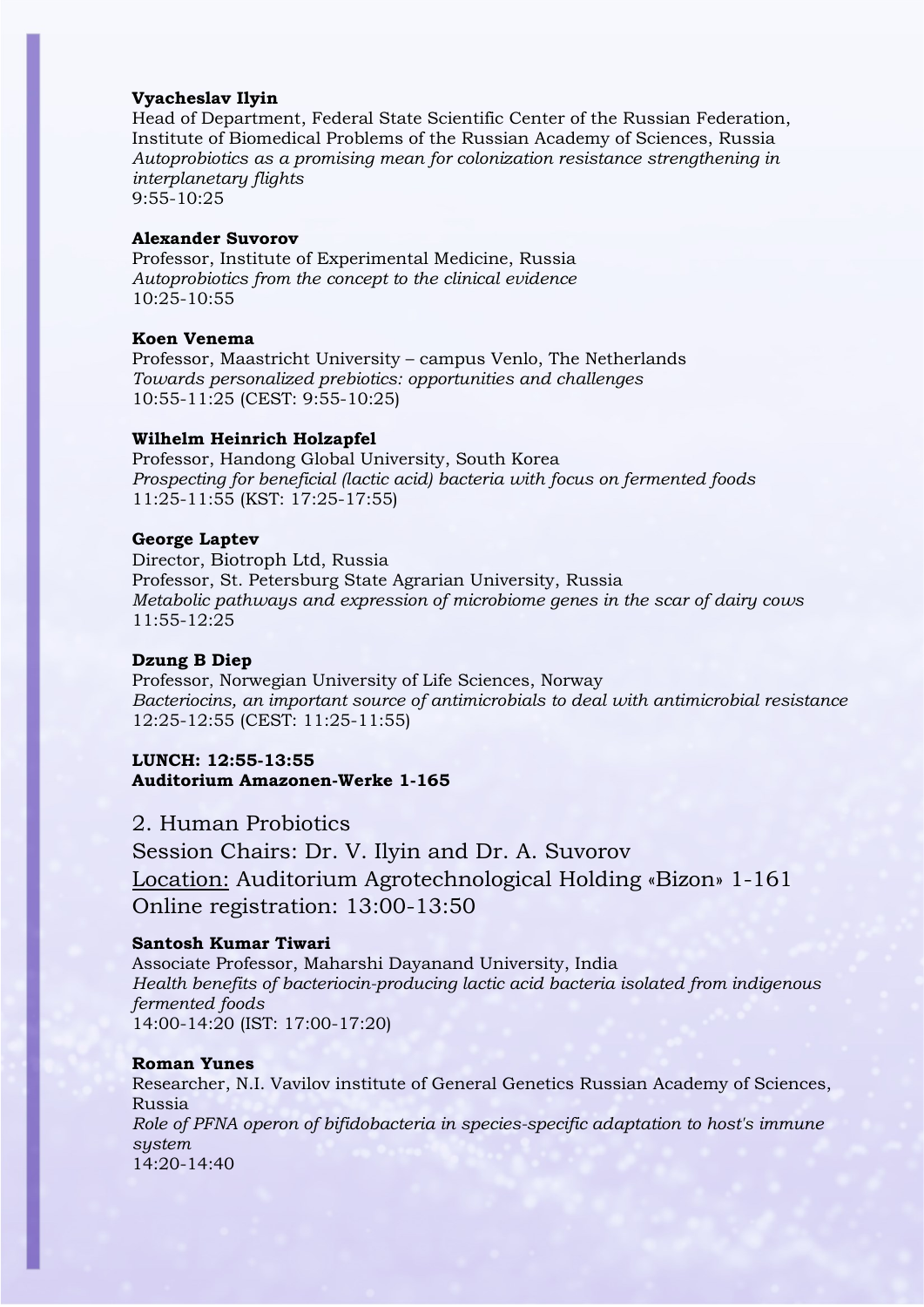### **Vyacheslav Ilyin**

Head of Department, Federal State Scientific Center of the Russian Federation, Institute of Biomedical Problems of the Russian Academy of Sciences, Russia *Autoprobiotics as a promising mean for colonization resistance strengthening in interplanetary flights* 9:55-10:25

### **Alexander Suvorov**

Professor, Institute of Experimental Medicine, Russia *Autoprobiotics from the concept to the clinical evidence* 10:25-10:55

# **Koen Venema**

Professor, Maastricht University – campus Venlo, The Netherlands *Towards personalized prebiotics: opportunities and challenges*  10:55-11:25 (CEST: 9:55-10:25)

#### **Wilhelm Heinrich Holzapfel**

Professor, Handong Global University, South Korea *Prospecting for beneficial (lactic acid) bacteria with focus on fermented foods*  11:25-11:55 (KST: 17:25-17:55)

# **George Laptev**

Director, Biotroph Ltd, Russia Professor, St. Petersburg State Agrarian University, Russia *Metabolic pathways and expression of microbiome genes in the scar of dairy cows* 11:55-12:25

### **Dzung B Diep**

Professor, Norwegian University of Life Sciences, Norway *Bacteriocins, an important source of antimicrobials to deal with antimicrobial resistance* 12:25-12:55 (CEST: 11:25-11:55)

# **LUNCH: 12:55-13:55 Auditorium Amazonen-Werke 1-165**

2. Human Probiotics

Session Chairs: Dr. V. Ilyin and Dr. A. Suvorov Location: Auditorium Agrotechnological Holding «Bizon» 1-161 Online registration: 13:00-13:50

#### **Santosh Kumar Tiwari**

Associate Professor, Maharshi Dayanand University, India *Health benefits of bacteriocin-producing lactic acid bacteria isolated from indigenous fermented foods*  14:00-14:20 (IST: 17:00-17:20)

# **Roman Yunes**

Researcher, N.I. Vavilov institute of General Genetics Russian Academy of Sciences, Russia *Role of PFNA operon of bifidobacteria in species-specific adaptation to host's immune system*  14:20-14:40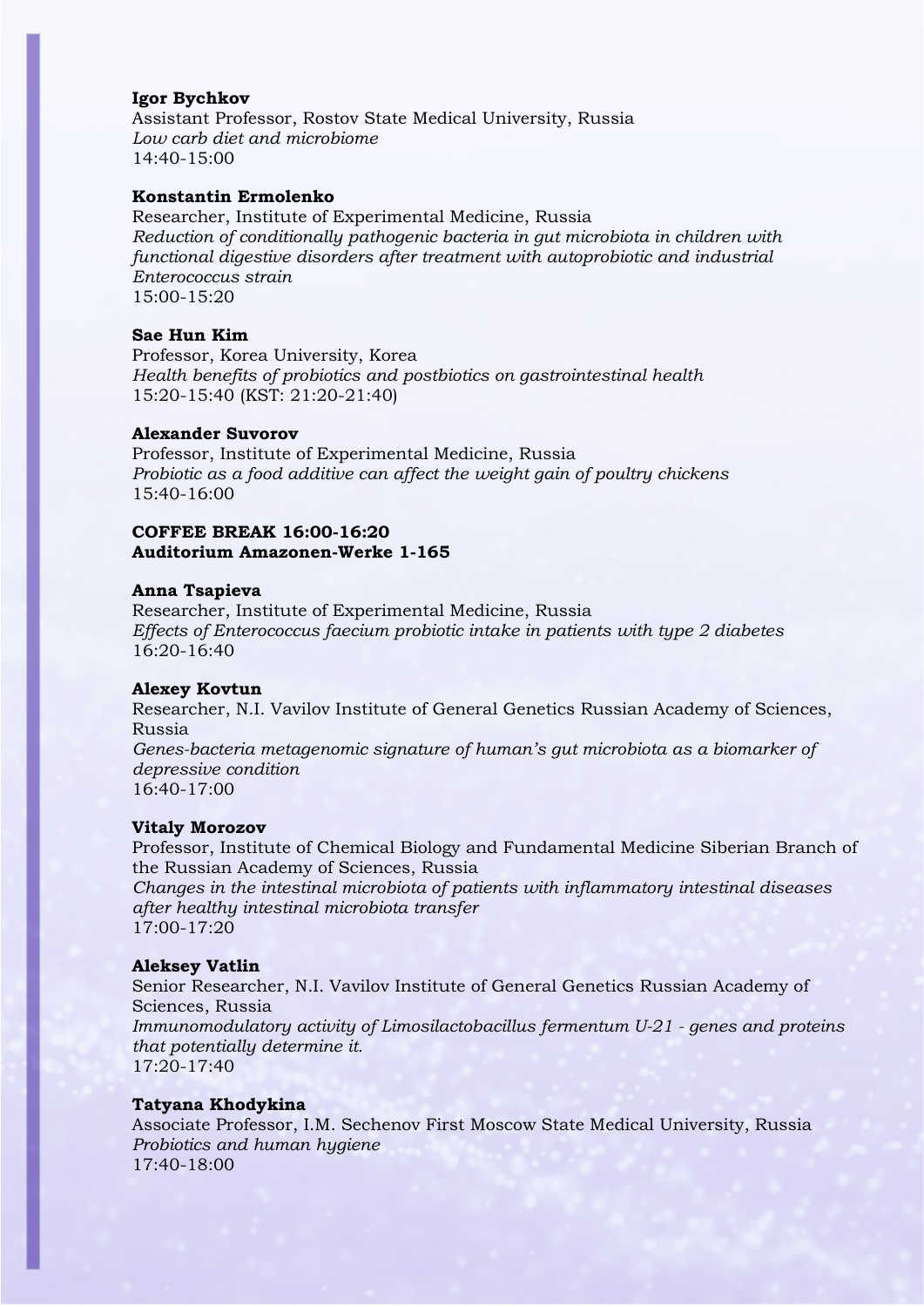#### **Igor Bychkov**

Assistant Professor, Rostov State Medical University, Russia *Low carb diet and microbiome*  14:40-15:00

# **Konstantin Ermolenko**

Researcher, Institute of Experimental Medicine, Russia *Reduction of conditionally pathogenic bacteria in gut microbiota in children with functional digestive disorders after treatment with autoprobiotic and industrial Enterococcus strain* 15:00-15:20

#### **Sae Hun Kim**

Professor, Korea University, Korea *Health benefits of probiotics and postbiotics on gastrointestinal health* 15:20-15:40 (KST: 21:20-21:40)

# **Alexander Suvorov**

Professor, Institute of Experimental Medicine, Russia *Probiotic as a food additive can affect the weight gain of poultry chickens* 15:40-16:00

# **COFFEE BREAK 16:00-16:20 Auditorium Amazonen-Werke 1-165**

#### **Anna Tsapieva**

Researcher, Institute of Experimental Medicine, Russia *Effects of Enterococcus faecium probiotic intake in patients with type 2 diabetes* 16:20-16:40

#### **Alexey Kovtun**

Researcher, N.I. Vavilov Institute of General Genetics Russian Academy of Sciences, Russia

*Genes-bacteria metagenomic signature of human's gut microbiota as a biomarker of depressive condition*

16:40-17:00

#### **Vitaly Morozov**

Professor, Institute of Chemical Biology and Fundamental Medicine Siberian Branch of the Russian Academy of Sciences, Russia

*Changes in the intestinal microbiota of patients with inflammatory intestinal diseases after healthy intestinal microbiota transfer* 17:00-17:20

# **Aleksey Vatlin**

Senior Researcher, N.I. Vavilov Institute of General Genetics Russian Academy of Sciences, Russia *Immunomodulatory activity of Limosilactobacillus fermentum U-21 - genes and proteins that potentially determine it.* 17:20-17:40

#### **Tatyana Khodykina**

Associate Professor, I.M. Sechenov First Moscow State Medical University, Russia *Probiotics and human hygiene* 17:40-18:00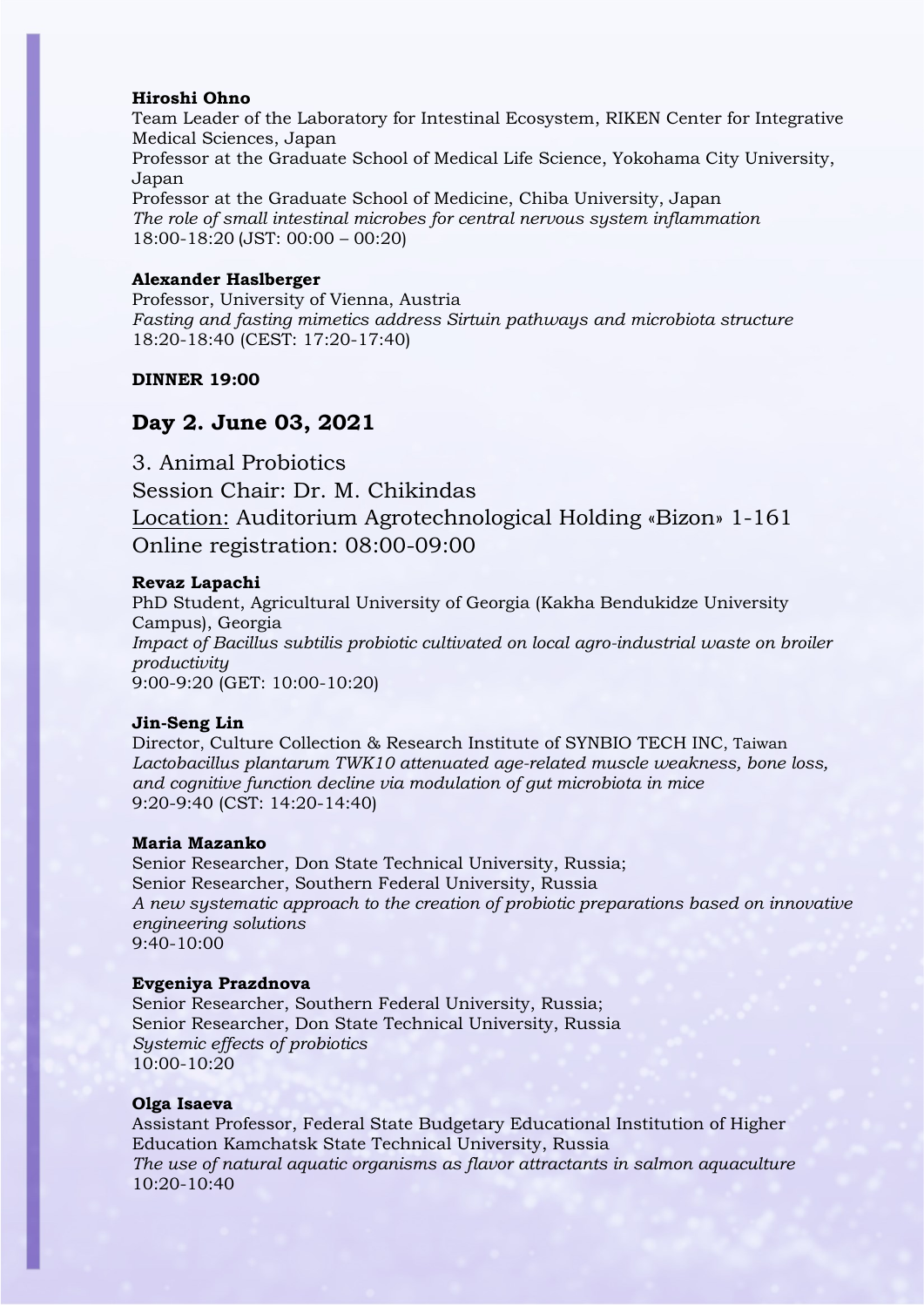# **Hiroshi Ohno**

Team Leader of the Laboratory for Intestinal Ecosystem, RIKEN Center for Integrative Medical Sciences, Japan

Professor at the Graduate School of Medical Life Science, Yokohama City University, Japan

Professor at the Graduate School of Medicine, Chiba University, Japan *The role of small intestinal microbes for central nervous system inflammation* 18:00-18:20 (JST: 00:00 – 00:20)

### **Alexander Haslberger**

Professor, University of Vienna, Austria *Fasting and fasting mimetics address Sirtuin pathways and microbiota structure*  18:20-18:40 (CEST: 17:20-17:40)

# **DINNER 19:00**

# **Day 2. June 03, 2021**

3. Animal Probiotics Session Chair: Dr. M. Chikindas Location: Auditorium Agrotechnological Holding «Bizon» 1-161 Online registration: 08:00-09:00

#### **Revaz Lapachi**

PhD Student, Agricultural University of Georgia (Kakha Bendukidze University Campus), Georgia *Impact of Bacillus subtilis probiotic cultivated on local agro-industrial waste on broiler productivity*  9:00-9:20 (GET: 10:00-10:20)

#### **Jin-Seng Lin**

Director, Culture Collection & Research Institute of SYNBIO TECH INC, Taiwan *Lactobacillus plantarum TWK10 attenuated age-related muscle weakness, bone loss, and cognitive function decline via modulation of gut microbiota in mice* 9:20-9:40 (CST: 14:20-14:40)

# **Maria Mazanko**

Senior Researcher, Don State Technical University, Russia; Senior Researcher, Southern Federal University, Russia *A new systematic approach to the creation of probiotic preparations based on innovative engineering solutions*  $9:40-10:00$ 

#### **Evgeniya Prazdnova**

Senior Researcher, Southern Federal University, Russia; Senior Researcher, Don State Technical University, Russia *Systemic effects of probiotics*  $10:00-10:20$ 

#### **Olga Isaeva**

Assistant Professor, Federal State Budgetary Educational Institution of Higher Education Kamchatsk State Technical University, Russia *The use of natural aquatic organisms as flavor attractants in salmon aquaculture* 10:20-10:40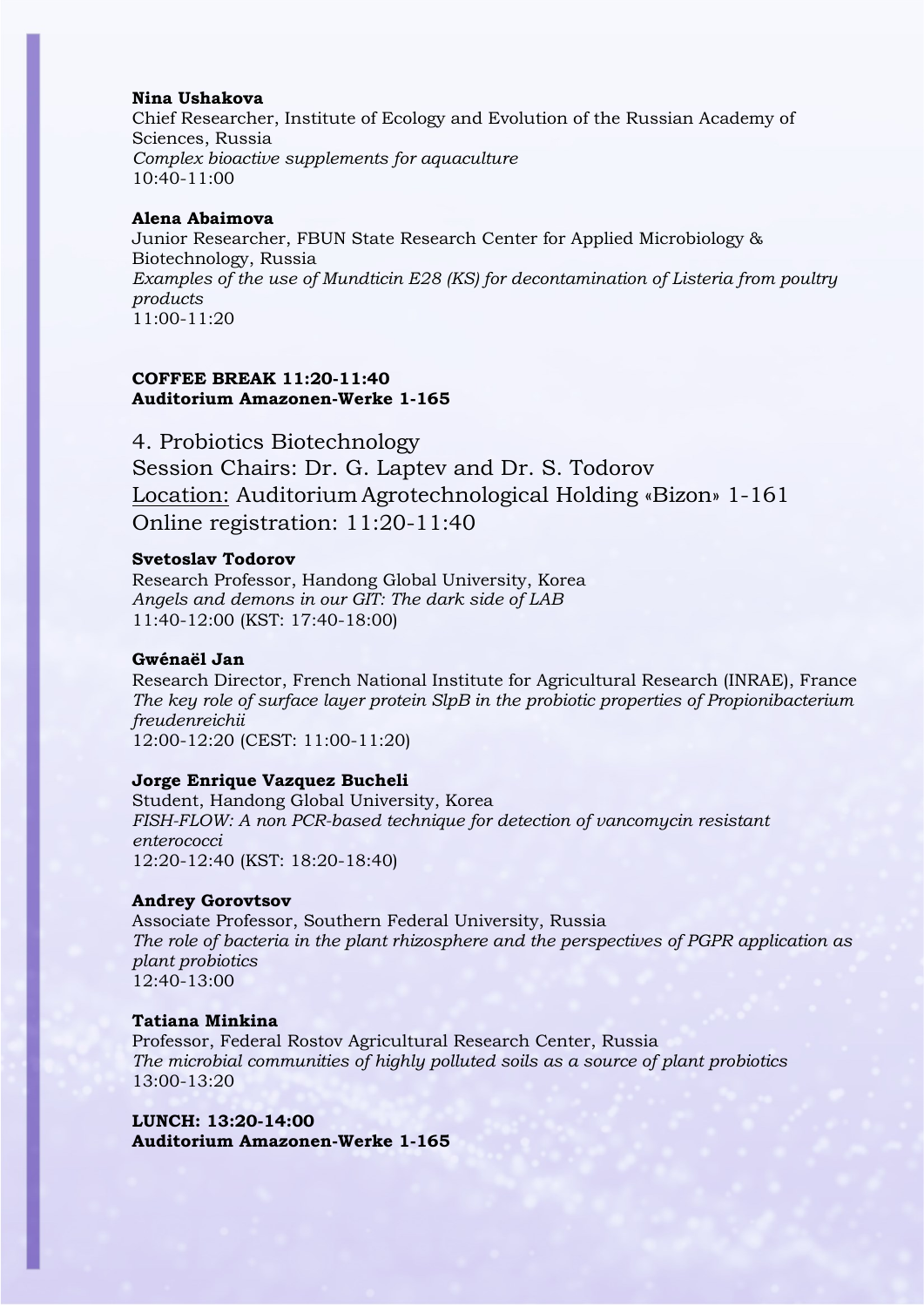# **Nina Ushakova**

Chief Researcher, Institute of Ecology and Evolution of the Russian Academy of Sciences, Russia *Complex bioactive supplements for aquaculture* 10:40-11:00

### **Alena Abaimova**

Junior Researcher, FBUN State Research Center for Applied Microbiology & Biotechnology, Russia *Examples of the use of Mundticin E28 (KS) for decontamination of Listeria from poultry products* 11:00-11:20

# **COFFEE BREAK 11:20-11:40 Auditorium Amazonen-Werke 1-165**

4. Probiotics Biotechnology Session Chairs: Dr. G. Laptev and Dr. S. Todorov Location: Auditorium Agrotechnological Holding «Bizon» 1-161 Online registration: 11:20-11:40

# **Svetoslav Todorov**

Research Professor, Handong Global University, Korea *Angels and demons in our GIT: The dark side of LAB* 11:40-12:00 (KST: 17:40-18:00)

# **Gwénaël Jan**

Research Director, French National Institute for Agricultural Research (INRAE), France *The key role of surface layer protein SlpB in the probiotic properties of Propionibacterium freudenreichii* 12:00-12:20 (CEST: 11:00-11:20)

#### **Jorge Enrique Vazquez Bucheli**

Student, Handong Global University, Korea *FISH-FLOW: A non PCR-based technique for detection of vancomycin resistant enterococci*  12:20-12:40 (KST: 18:20-18:40)

#### **Andrey Gorovtsov**

Associate Professor, Southern Federal University, Russia *The role of bacteria in the plant rhizosphere and the perspectives of PGPR application as plant probiotics* 12:40-13:00

#### **Tatiana Minkina**

Professor, Federal Rostov Agricultural Research Center, Russia *The microbial communities of highly polluted soils as a source of plant probiotics* 13:00-13:20

**LUNCH: 13:20-14:00 Auditorium Amazonen-Werke 1-165**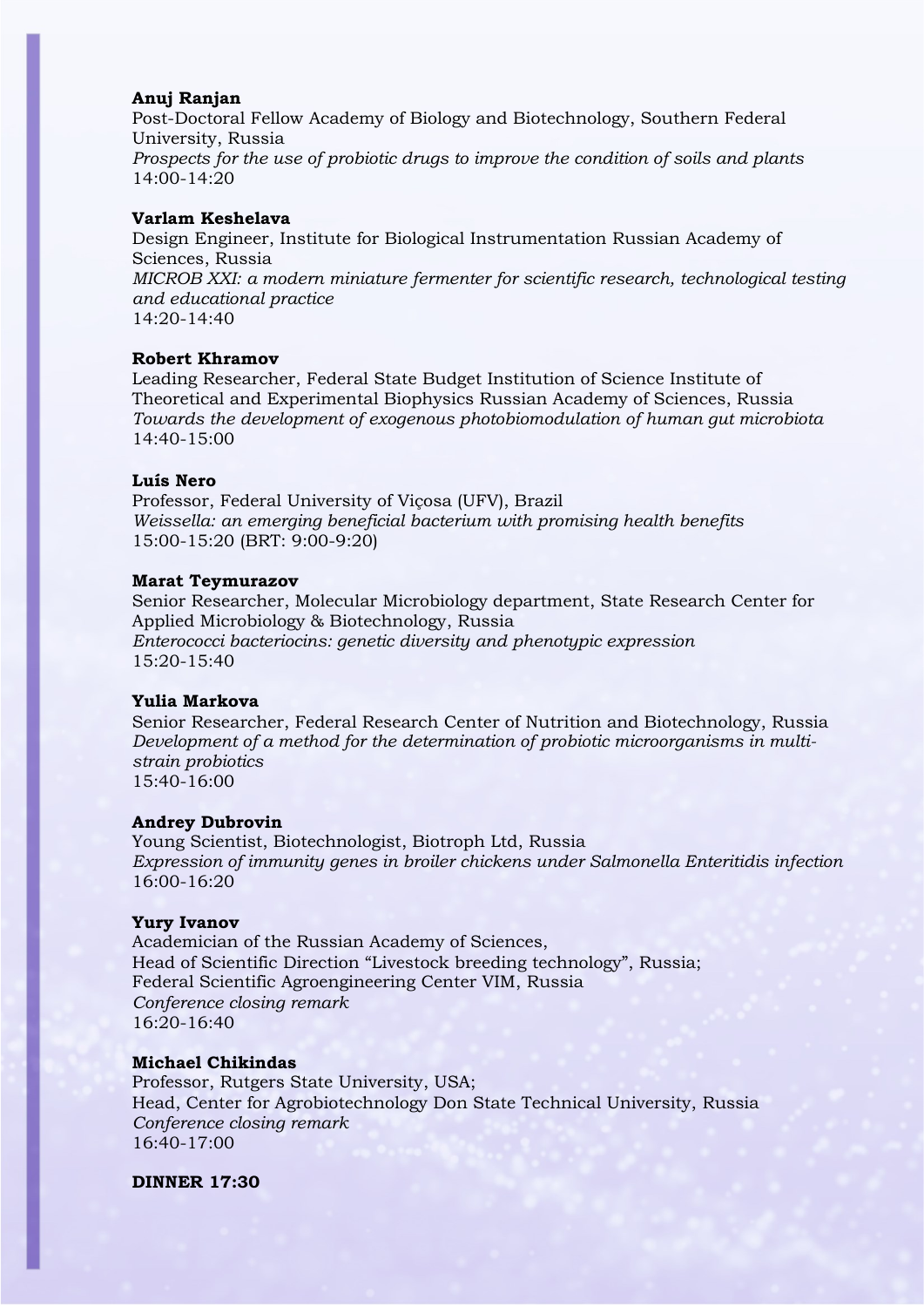#### **Anuj Ranjan**

Post-Doctoral Fellow Academy of Biology and Biotechnology, Southern Federal University, Russia *Prospects for the use of probiotic drugs to improve the condition of soils and plants* 14:00-14:20

#### **Varlam Keshelava**

Design Engineer, Institute for Biological Instrumentation Russian Academy of Sciences, Russia *MICROB XXI: a modern miniature fermenter for scientific research, technological testing and educational practice*  $14:20 - 14:40$ 

#### **Robert Khramov**

Leading Researcher, Federal State Budget Institution of Science Institute of Theoretical and Experimental Biophysics Russian Academy of Sciences, Russia *Towards the development of exogenous photobiomodulation of human gut microbiota* 14:40-15:00

#### **Luís Nero**

Professor, Federal University of Viçosa (UFV), Brazil *Weissella: an emerging beneficial bacterium with promising health benefits* 15:00-15:20 (BRT: 9:00-9:20)

#### **Marat Teymurazov**

Senior Researcher, Molecular Microbiology department, State Research Center for Applied Microbiology & Biotechnology, Russia *Enterococci bacteriocins: genetic diversity and phenotypic expression* 15:20-15:40

#### **Yulia Markova**

Senior Researcher, Federal Research Center of Nutrition and Biotechnology, Russia *Development of a method for the determination of probiotic microorganisms in multistrain probiotics* 15:40-16:00

#### **Andrey Dubrovin**

Young Scientist, Biotechnologist, Biotroph Ltd, Russia *Expression of immunity genes in broiler chickens under Salmonella Enteritidis infection* 16:00-16:20

#### **Yury Ivanov**

Academician of the Russian Academy of Sciences, Head of Scientific Direction "Livestock breeding technology", Russia; Federal Scientific Agroengineering Center VIM, Russia *Conference closing remark* 16:20-16:40

### **Michael Chikindas**

Professor, Rutgers State University, USA; Head, Center for Agrobiotechnology Don State Technical University, Russia *Conference closing remark* 16:40-17:00

**DINNER 17:30**